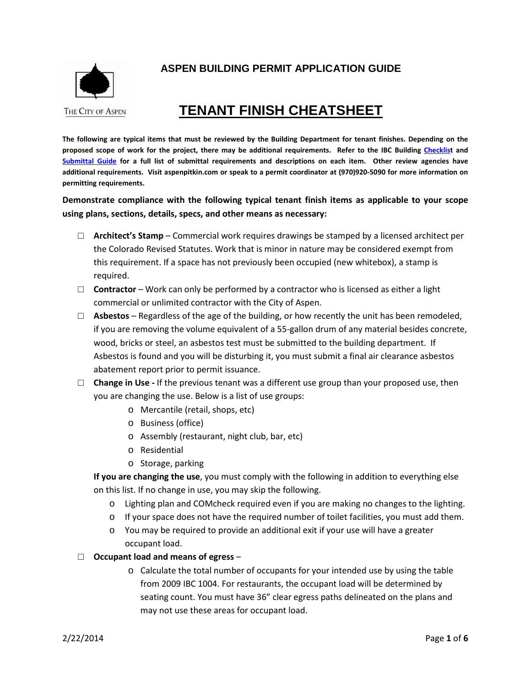

## **ASPEN BUILDING PERMIT APPLICATION GUIDE**

# **TENANT FINISH CHEATSHEET**

**The following are typical items that must be reviewed by the Building Department for tenant finishes. Depending on the proposed scope of work for the project, there may be additional requirements. Refer to the IBC Building [Checklist](http://www.aspenpitkin.com/Portals/0/docs/City/Comdev/Building%20Checklists/IBC-BuildingChecklistDraft8-28.pdf) and [Submittal Guide](http://www.aspenpitkin.com/Portals/0/docs/City/Comdev/Building%20Checklists/IBC-BuildingSubmittalGuideDraft8-28.pdf) for a full list of submittal requirements and descriptions on each item. Other review agencies have additional requirements. Visit aspenpitkin.com or speak to a permit coordinator at (970)920-5090 for more information on permitting requirements.** 

**Demonstrate compliance with the following typical tenant finish items as applicable to your scope using plans, sections, details, specs, and other means as necessary:**

- □ **Architect's Stamp** Commercial work requires drawings be stamped by a licensed architect per the Colorado Revised Statutes. Work that is minor in nature may be considered exempt from this requirement. If a space has not previously been occupied (new whitebox), a stamp is required.
- □ **Contractor** Work can only be performed by a contractor who is licensed as either a light commercial or unlimited contractor with the City of Aspen.
- □ **Asbestos** Regardless of the age of the building, or how recently the unit has been remodeled, if you are removing the volume equivalent of a 55-gallon drum of any material besides concrete, wood, bricks or steel, an asbestos test must be submitted to the building department. If Asbestos is found and you will be disturbing it, you must submit a final air clearance asbestos abatement report prior to permit issuance.
- □ **Change in Use -** If the previous tenant was a different use group than your proposed use, then you are changing the use. Below is a list of use groups:
	- o Mercantile (retail, shops, etc)
	- o Business (office)
	- o Assembly (restaurant, night club, bar, etc)
	- o Residential
	- o Storage, parking

**If you are changing the use**, you must comply with the following in addition to everything else on this list. If no change in use, you may skip the following.

- o Lighting plan and COMcheck required even if you are making no changes to the lighting.
- o If your space does not have the required number of toilet facilities, you must add them.
- o You may be required to provide an additional exit if your use will have a greater occupant load.
- □ **Occupant load and means of egress**
	- o Calculate the total number of occupants for your intended use by using the table from 2009 IBC 1004. For restaurants, the occupant load will be determined by seating count. You must have 36" clear egress paths delineated on the plans and may not use these areas for occupant load.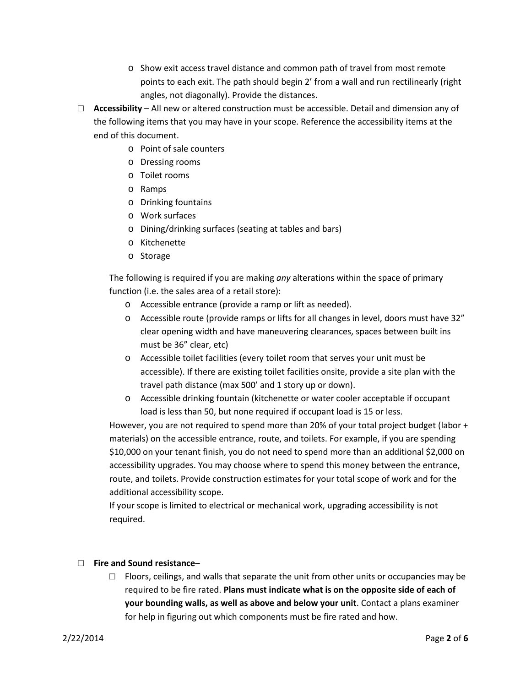- o Show exit access travel distance and common path of travel from most remote points to each exit. The path should begin 2' from a wall and run rectilinearly (right angles, not diagonally). Provide the distances.
- □ **Accessibility** All new or altered construction must be accessible. Detail and dimension any of the following items that you may have in your scope. Reference the accessibility items at the end of this document.
	- o Point of sale counters
	- o Dressing rooms
	- o Toilet rooms
	- o Ramps
	- o Drinking fountains
	- o Work surfaces
	- o Dining/drinking surfaces (seating at tables and bars)
	- o Kitchenette
	- o Storage

The following is required if you are making *any* alterations within the space of primary function (i.e. the sales area of a retail store):

- o Accessible entrance (provide a ramp or lift as needed).
- o Accessible route (provide ramps or lifts for all changes in level, doors must have 32" clear opening width and have maneuvering clearances, spaces between built ins must be 36" clear, etc)
- o Accessible toilet facilities (every toilet room that serves your unit must be accessible). If there are existing toilet facilities onsite, provide a site plan with the travel path distance (max 500' and 1 story up or down).
- o Accessible drinking fountain (kitchenette or water cooler acceptable if occupant load is less than 50, but none required if occupant load is 15 or less.

However, you are not required to spend more than 20% of your total project budget (labor + materials) on the accessible entrance, route, and toilets. For example, if you are spending \$10,000 on your tenant finish, you do not need to spend more than an additional \$2,000 on accessibility upgrades. You may choose where to spend this money between the entrance, route, and toilets. Provide construction estimates for your total scope of work and for the additional accessibility scope.

If your scope is limited to electrical or mechanical work, upgrading accessibility is not required.

### □ **Fire and Sound resistance**–

 $\Box$  Floors, ceilings, and walls that separate the unit from other units or occupancies may be required to be fire rated. **Plans must indicate what is on the opposite side of each of your bounding walls, as well as above and below your unit**. Contact a plans examiner for help in figuring out which components must be fire rated and how.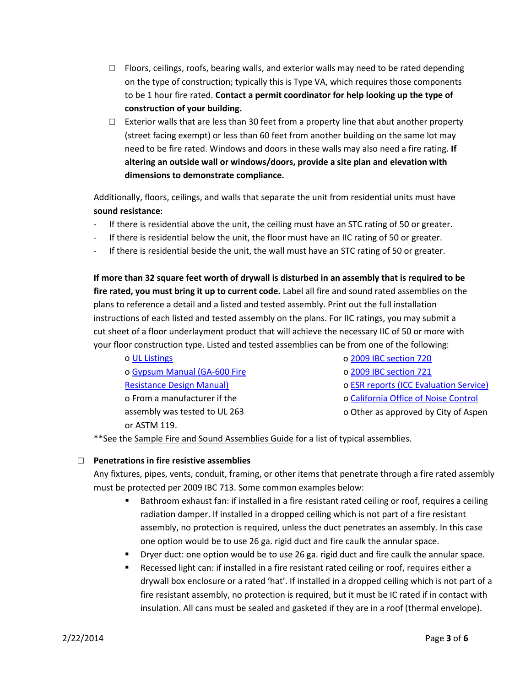- $\Box$  Floors, ceilings, roofs, bearing walls, and exterior walls may need to be rated depending on the type of construction; typically this is Type VA, which requires those components to be 1 hour fire rated. **Contact a permit coordinator for help looking up the type of construction of your building.**
- □ Exterior walls that are less than 30 feet from a property line that abut another property (street facing exempt) or less than 60 feet from another building on the same lot may need to be fire rated. Windows and doors in these walls may also need a fire rating. **If altering an outside wall or windows/doors, provide a site plan and elevation with dimensions to demonstrate compliance.**

Additionally, floors, ceilings, and walls that separate the unit from residential units must have **sound resistance**:

- If there is residential above the unit, the ceiling must have an STC rating of 50 or greater.
- If there is residential below the unit, the floor must have an IIC rating of 50 or greater.
- If there is residential beside the unit, the wall must have an STC rating of 50 or greater.

**If more than 32 square feet worth of drywall is disturbed in an assembly that is required to be fire rated, you must bring it up to current code.** Label all fire and sound rated assemblies on the plans to reference a detail and a listed and tested assembly. Print out the full installation instructions of each listed and tested assembly on the plans. For IIC ratings, you may submit a cut sheet of a floor underlayment product that will achieve the necessary IIC of 50 or more with your floor construction type. Listed and tested assemblies can be from one of the following:

o [UL Listings](http://database.ul.com/cgi-bin/ulweb/LISEXT/1FRAME/FireResistanceWizard.html) o [Gypsum Manual \(GA-600 Fire](https://bulk.resource.org/codes.gov/bsc.ca.gov/sibr/org.gypsum.GA-600-09.pdf)  [Resistance Design Manual\)](https://bulk.resource.org/codes.gov/bsc.ca.gov/sibr/org.gypsum.GA-600-09.pdf) o From a manufacturer if the assembly was tested to UL 263 or ASTM 119.

o [2009 IBC section 720](http://publicecodes.cyberregs.com/icod/ibc/2009/icod_ibc_2009_7_sec020.htm)

o [2009 IBC section 721](http://publicecodes.cyberregs.com/icod/ibc/2009/icod_ibc_2009_7_sec021.htm)

- o [ESR reports \(ICC Evaluation Service\)](http://www.icc-es.org/Evaluation_Reports/)
- o [California Office of Noise Control](http://www.toolbase.org/PDF/CaseStudies/stc_icc_ratings.pdf)
- o Other as approved by City of Aspen

\*\*See the Sample Fire and Sound Assemblies Guide for a list of typical assemblies.

### □ **Penetrations in fire resistive assemblies**

Any fixtures, pipes, vents, conduit, framing, or other items that penetrate through a fire rated assembly must be protected per 2009 IBC 713. Some common examples below:

- **Bathroom exhaust fan: if installed in a fire resistant rated ceiling or roof, requires a ceiling** radiation damper. If installed in a dropped ceiling which is not part of a fire resistant assembly, no protection is required, unless the duct penetrates an assembly. In this case one option would be to use 26 ga. rigid duct and fire caulk the annular space.
- Dryer duct: one option would be to use 26 ga. rigid duct and fire caulk the annular space.
- Recessed light can: if installed in a fire resistant rated ceiling or roof, requires either a drywall box enclosure or a rated 'hat'. If installed in a dropped ceiling which is not part of a fire resistant assembly, no protection is required, but it must be IC rated if in contact with insulation. All cans must be sealed and gasketed if they are in a roof (thermal envelope).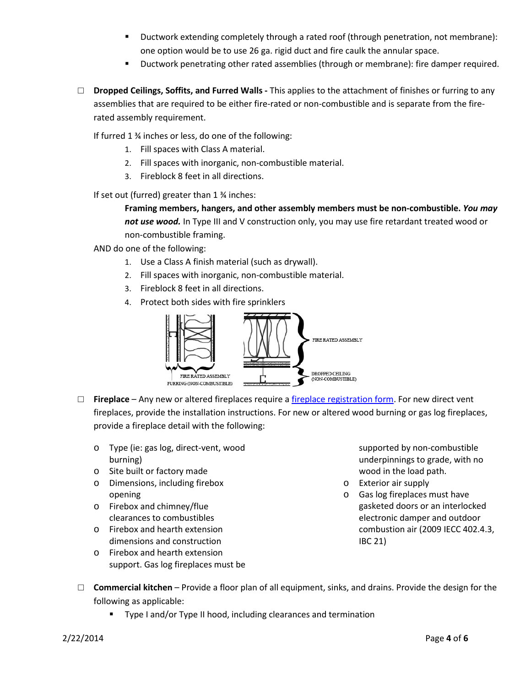- Ductwork extending completely through a rated roof (through penetration, not membrane): one option would be to use 26 ga. rigid duct and fire caulk the annular space.
- Ductwork penetrating other rated assemblies (through or membrane): fire damper required.
- □ **Dropped Ceilings, Soffits, and Furred Walls -** This applies to the attachment of finishes or furring to any assemblies that are required to be either fire-rated or non-combustible and is separate from the firerated assembly requirement.

If furred 1 ¾ inches or less, do one of the following:

- 1. Fill spaces with Class A material.
- 2. Fill spaces with inorganic, non-combustible material.
- 3. Fireblock 8 feet in all directions.

If set out (furred) greater than 1 ¾ inches:

**Framing members, hangers, and other assembly members must be non-combustible.** *You may not use wood.* In Type III and V construction only, you may use fire retardant treated wood or non-combustible framing.

AND do one of the following:

- 1. Use a Class A finish material (such as drywall).
- 2. Fill spaces with inorganic, non-combustible material.
- 3. Fireblock 8 feet in all directions.
- 4. Protect both sides with fire sprinklers



- □ **Fireplace**  Any new or altered fireplaces require a [fireplace registration form.](http://www.aspenpitkin.com/Portals/0/docs/businessnav/BuildorRemodel/Fireplace%20OR%20Woodstove%20Registration.pdf) For new direct vent fireplaces, provide the installation instructions. For new or altered wood burning or gas log fireplaces, provide a fireplace detail with the following:
	- o Type (ie: gas log, direct-vent, wood burning)
	- o Site built or factory made
	- o Dimensions, including firebox opening
	- o Firebox and chimney/flue clearances to combustibles
	- o Firebox and hearth extension dimensions and construction
	- o Firebox and hearth extension support. Gas log fireplaces must be

supported by non-combustible underpinnings to grade, with no wood in the load path.

- o Exterior air supply
- o Gas log fireplaces must have gasketed doors or an interlocked electronic damper and outdoor combustion air (2009 IECC 402.4.3, IBC 21)
- □ **Commercial kitchen** Provide a floor plan of all equipment, sinks, and drains. Provide the design for the following as applicable:
	- **Type I and/or Type II hood, including clearances and termination**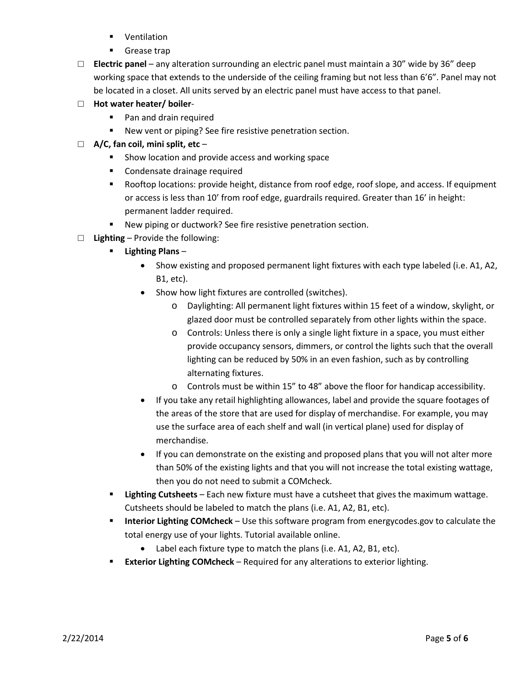- **ventilation**
- **Grease trap**
- □ **Electric panel** any alteration surrounding an electric panel must maintain a 30" wide by 36" deep working space that extends to the underside of the ceiling framing but not less than 6'6". Panel may not be located in a closet. All units served by an electric panel must have access to that panel.
- □ **Hot water heater/ boiler**
	- **Pan and drain required**
	- New vent or piping? See fire resistive penetration section.
- □ **A/C, fan coil, mini split, etc**
	- **Show location and provide access and working space**
	- **EXECONDERGHEE** Condensate drainage required
	- Rooftop locations: provide height, distance from roof edge, roof slope, and access. If equipment or access is less than 10' from roof edge, guardrails required. Greater than 16' in height: permanent ladder required.
	- New piping or ductwork? See fire resistive penetration section.
- □ **Lighting** Provide the following:
	- **Lighting Plans**
		- Show existing and proposed permanent light fixtures with each type labeled (i.e. A1, A2, B1, etc).
		- Show how light fixtures are controlled (switches).
			- o Daylighting: All permanent light fixtures within 15 feet of a window, skylight, or glazed door must be controlled separately from other lights within the space.
			- $\circ$  Controls: Unless there is only a single light fixture in a space, you must either provide occupancy sensors, dimmers, or control the lights such that the overall lighting can be reduced by 50% in an even fashion, such as by controlling alternating fixtures.
			- o Controls must be within 15" to 48" above the floor for handicap accessibility.
		- If you take any retail highlighting allowances, label and provide the square footages of the areas of the store that are used for display of merchandise. For example, you may use the surface area of each shelf and wall (in vertical plane) used for display of merchandise.
		- If you can demonstrate on the existing and proposed plans that you will not alter more than 50% of the existing lights and that you will not increase the total existing wattage, then you do not need to submit a COMcheck.
	- **Lighting Cutsheets** Each new fixture must have a cutsheet that gives the maximum wattage. Cutsheets should be labeled to match the plans (i.e. A1, A2, B1, etc).
	- **Interior Lighting COMcheck** Use this software program from energycodes.gov to calculate the total energy use of your lights. Tutorial available online.
		- Label each fixture type to match the plans (i.e. A1, A2, B1, etc).
	- **Exterior Lighting COMcheck** Required for any alterations to exterior lighting.